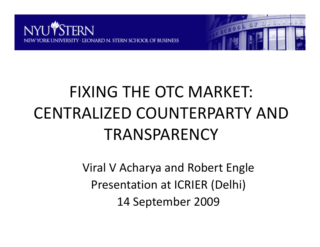



# FIXING THE OTC MARKET: CENTRALIZED COUNTERPARTY AND TRANSPARENCY

Viral V Acharya and Robert Engle Presentation at ICRIER (Delhi) 14 September 2009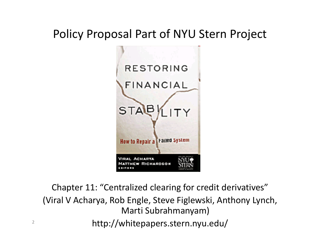#### Policy Proposal Part of NYU Stern Project



Chapter 11: "Centralized clearing for credit derivatives" (Viral V Acharya, Rob Engle, Steve Figlewski, Anthony Lynch, Marti Subrahmanyam) http://whitepapers.stern.nyu.edu/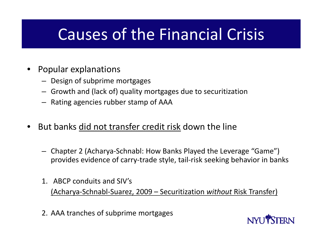### Causes of the Financial Crisis

- • Popular explanations
	- Design of subprime mortgages
	- Growth and (lack of) quality mortgages due to securitization
	- Rating agencies rubber stamp of AAA
- • $\bullet$  But banks did not transfer credit risk down the line
	- Chapter 2 (Acharya‐Schnabl: How Banks Played the Leverage "Game") provides evidence of carry‐trade style, tail‐risk seeking behavior in banks
	- 1. ABCP conduits and SIV's (Acharya‐Schnabl‐Suarez, 2009 – Securitization *without* Risk Transfer)
	- 2. AAA tranches of subprime mortgages

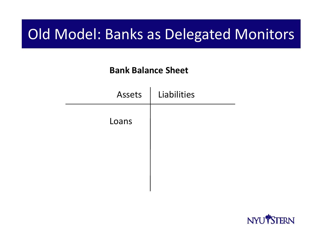### Old Model: Banks as Delegated Monitors

| <b>Assets</b> | Liabilities |
|---------------|-------------|
| Loans         |             |
|               |             |
|               |             |
|               |             |

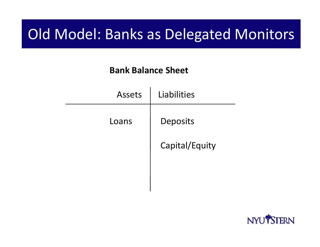### Old Model: Banks as Delegated Monitors

| Assets | Liabilities    |
|--------|----------------|
| Loans  | Deposits       |
|        | Capital/Equity |
|        |                |
|        |                |

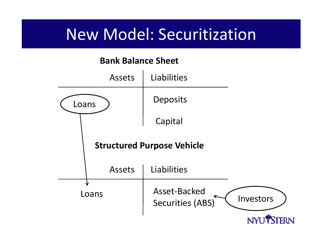### New Model: Securitization

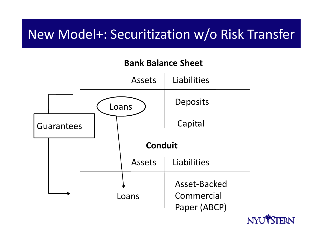### New Model+: Securitization w/o Risk Transfer



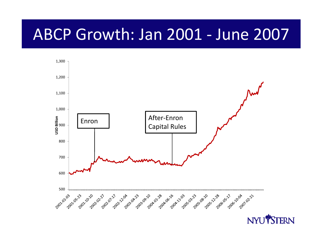### ABCP Growth: Jan 2001 ‐ June 2007

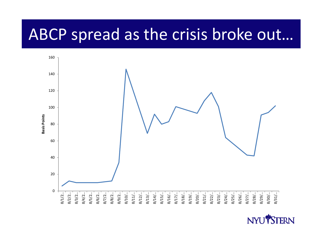### ABCP spread as the crisis broke out…



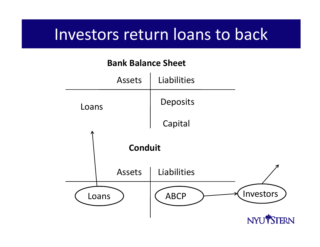### Investors return loans to back

#### **Bank Balance Sheet** Assets Liabilities Deposits LoansCapital **Conduit** ts | Liabilities Assets Investors ABCPLoansNYU<sup>®</sup>STERN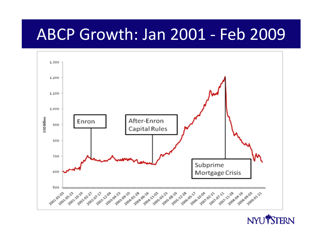### ABCP Growth: Jan 2001 ‐ Feb 2009



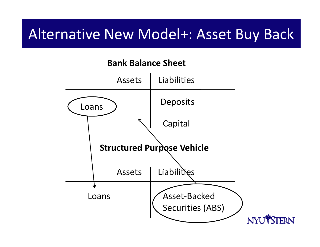### Alternative New Model+: Asset Buy Back

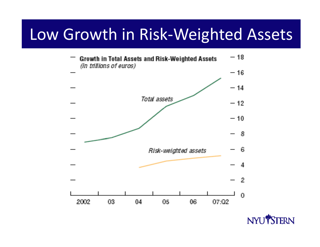### Low Growth in Risk‐Weighted Assets

![](_page_12_Figure_1.jpeg)

![](_page_12_Picture_2.jpeg)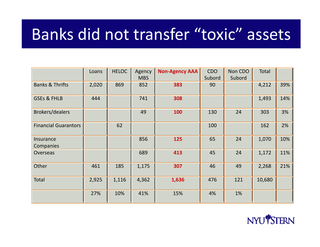### Banks did not transfer "toxic" assets

|                             | Loans | <b>HELOC</b> | Agency<br><b>MBS</b> | <b>Non-Agency AAA</b> | <b>CDO</b><br>Subord | Non CDO<br>Subord | Total  |     |
|-----------------------------|-------|--------------|----------------------|-----------------------|----------------------|-------------------|--------|-----|
| <b>Banks &amp; Thrifts</b>  | 2,020 | 869          | 852                  | 383                   | 90                   |                   | 4,212  | 39% |
| <b>GSEs &amp; FHLB</b>      | 444   |              | 741                  | 308                   |                      |                   | 1,493  | 14% |
| <b>Brokers/dealers</b>      |       |              | 49                   | 100                   | 130                  | 24                | 303    | 3%  |
| <b>Financial Guarantors</b> |       | 62           |                      |                       | 100                  |                   | 162    | 2%  |
| Insurance<br>Companies      |       |              | 856                  | 125                   | 65                   | 24                | 1,070  | 10% |
| <b>Overseas</b>             |       |              | 689                  | 413                   | 45                   | 24                | 1,172  | 11% |
| Other                       | 461   | 185          | 1,175                | 307                   | 46                   | 49                | 2,268  | 21% |
| Total                       | 2,925 | 1,116        | 4,362                | 1,636                 | 476                  | 121               | 10,680 |     |
|                             | 27%   | 10%          | 41%                  | 15%                   | 4%                   | 1%                |        |     |

![](_page_13_Picture_2.jpeg)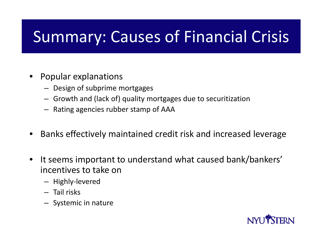# Summary: Causes of Financial Crisis

- Popular explanations
	- Design of subprime mortgages
	- Growth and (lack of) quality mortgages due to securitization
	- $-$  Rating agencies rubber stamp of AAA
- •Banks effectively maintained credit risk and increased leverage
- •• It seems important to understand what caused bank/bankers' incentives to take on
	- Highly‐levered
	- Tail risks
	- $-$  Systemic in nature

![](_page_14_Picture_10.jpeg)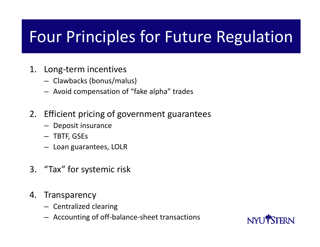# Four Principles for Future Regulation

- 1. Long‐term incentives
	- Clawbacks (bonus/malus)
	- Avoid compensation of "fake alpha" trades
- 2. Efficient pricing of government guarantees
	- Deposit insurance
	- TBTF, GSEs
	- Loan guarantees, LOLR
- 3. "Tax" for systemic risk
- 4. Transparency
	- Centralized clearing
	- Accounting of off‐balance‐sheet transactions

![](_page_15_Picture_12.jpeg)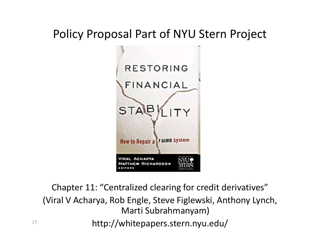#### Policy Proposal Part of NYU Stern Project

![](_page_16_Figure_1.jpeg)

Chapter 11: "Centralized clearing for credit derivatives" (Viral V Acharya, Rob Engle, Steve Figlewski, Anthony Lynch, Marti Subrahmanyam) http://whitepapers.stern.nyu.edu/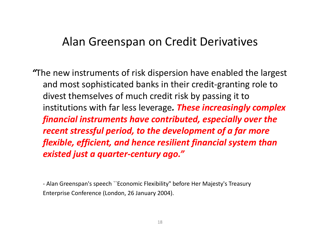#### Alan Greenspan on Credit Derivatives

*"*The new instruments of risk dispersion have enabled the largest and most sophisticated banks in their credit‐granting role to divest themselves of much credit risk by passing it to institutions with far less leverage *. These increasingly complex financial instruments have contributed, especially over the recent stressful period, to the development of <sup>a</sup> far more flexible, efficient, and hence resilient financial system than existed just <sup>a</sup> quarter‐century ago."*

‐ Alan Greenspan's speech ``Economic Flexibility" before Her Majesty's Treasury Enterprise Conference (London, 26 January 2004).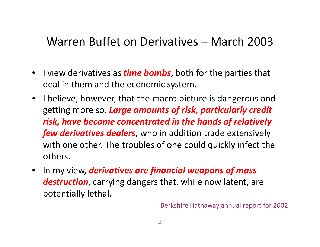#### Warren Buffet on Derivatives – March 2003

- $\bullet$  I view derivatives as *time bombs*, both for the parties that deal in them and the economic system.
- I believe, however, that the macro picture is dangerous and getting more so. *Large amounts of ri ks , parti l l cu ar y credit risk, have become concentrated in the hands of relatively few derivatives dealers*, who in addition trade extensively with one other. The troubles of one could quickly infect the others.
- $\bullet$  In my view, *derivatives are financial weapons of mass destruction*, carrying dangers that, while now latent, are potentially lethal.

Berkshire Hathaway annual report for 2002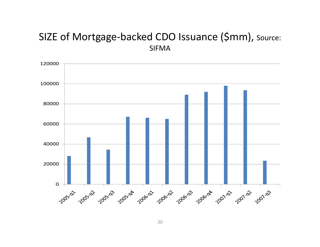#### SIZE of Mortgage‐backed CDO Issuance (\$mm), Source: SIFMA

![](_page_19_Figure_1.jpeg)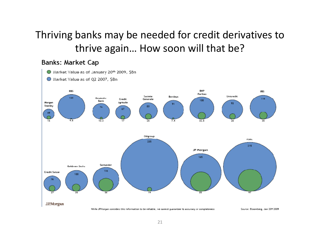#### Thriving banks may be needed for credit derivatives to thrive again… How soon will that be?

#### **Banks: Market Cap**

![](_page_20_Figure_2.jpeg)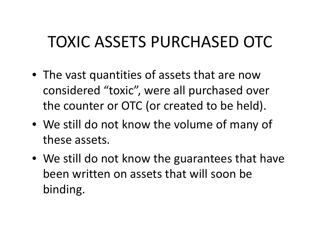# TOXIC ASSETS PURCHASED OTC

- The vast quantities of assets that are now considered "toxic", were all purchased over the counter or OTC (or created to be held).
- We still do not know the volume of many of these assets.
- We still do not know the guarantees that have been written on assets that will soon be binding.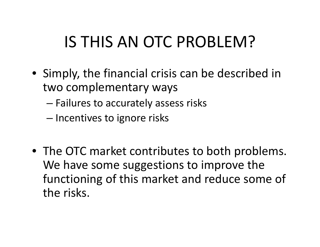# IS THIS AN OTC PROBLEM?

- Simply, the financial crisis can be described in two complementary ways
	- Failures to accurately assess risks
	- – $-$  Incentives to ignore risks
- The OTC market contributes to both problems. We have some suggestions to improve the functioning of this market and reduce some of the risks.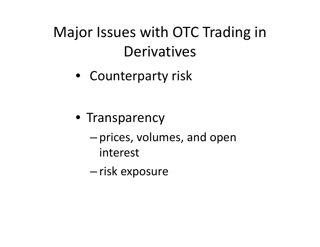# Major Issues with OTC Trading in **Derivatives**

• Counterparty risk

- Transparency
	- – $-$  prices, volumes, and open interest
	- –— risk exposure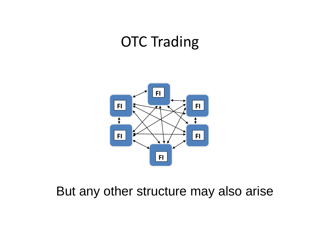### OTC Trading

![](_page_24_Picture_1.jpeg)

#### But any other structure may also arise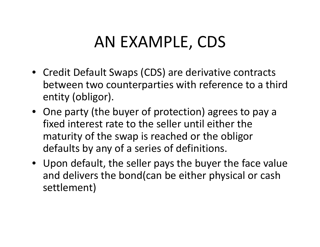# AN EXAMPLE, CDS

- Credit Default Swaps (CDS) are derivative contracts between two counterparties with reference to <sup>a</sup> third entity (obligor).
- One party (the buyer of protection) agrees to pay a fixed interest rate to the seller until either the maturity of the swap is reached or the obligor defaults by any of <sup>a</sup> series of definitions.
- Upon default, the seller pays the buyer the face value and delivers the bond(can be either physical or cash settlement)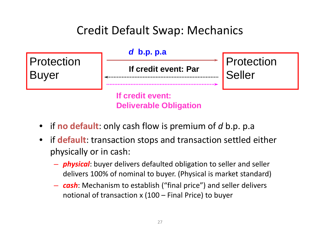#### Credit Default Swap: Mechanics

![](_page_26_Figure_1.jpeg)

- if **no default**: only cash flow is premium of *d* b.p. p.a
- if **default**: transaction stops and transaction settled either physically or in cash:
	- *physical*: buyer delivers defaulted obligation to seller and seller delivers 100% of nominal to buyer. (Physical is market standard)
	- *cash*: Mechanism to establish ("final price") and seller delivers notional of transaction <sup>x</sup> (100 – Final Price) to buyer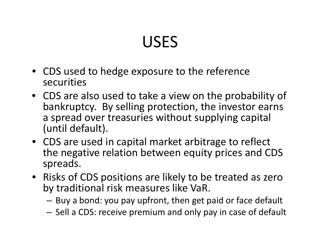# USES

- CDS used to hedge exposure to the reference securities
- CDS are also used to take <sup>a</sup> view on the probability of bankruptcy. By selling protection, the investor earns a spread over treasuries without supplying capital (until default).
- $\bullet$  CDS are used in capital market arbitrage to reflect the negative relation between equity prices and CDS spreads.
- Risks of CDS positions are likely to be treated as zero by traditional risk measures like VaR.
	- $-$  Buy a bond: you pay upfront, then get paid or face default
	- $-$  Sell a CDS: receive premium and only pay in case of default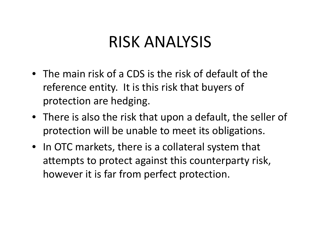### RISK ANALYSIS

- The main risk of <sup>a</sup> CDS is the risk of default of the reference entity. It is this risk that buyers of protection are hedging.
- There is also the risk that upon <sup>a</sup> default, the seller of protection will be unable to meet its obligations.
- In OTC markets, there is <sup>a</sup> collateral system that attempts to protect against this counterparty risk, however it is far from perfect protection.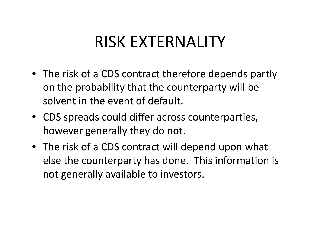### RISK EXTERNALITY

- The risk of <sup>a</sup> CDS contract therefore depends partly on the probability that the counterparty will be solvent in the event of default.
- CDS spreads could differ across counterparties, however generally they do not.
- The risk of <sup>a</sup> CDS contract will depend upon what else the counterparty has done. This information is not generally available to investors.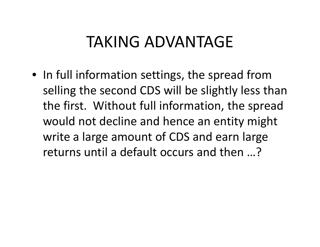### TAKING ADVANTAGE

 $\bullet\,$  In full information settings, the spread from selling the second CDS will be slightly less than the first. Without full information, the spread would not decline and hence an entity might write <sup>a</sup> large amount of CDS and earn large returns until <sup>a</sup> default occurs and then …?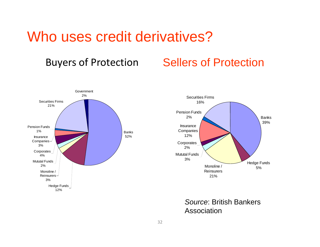#### Who uses credit derivatives?

#### Buyers of Protection Sellers of Protection

![](_page_31_Figure_2.jpeg)

![](_page_31_Figure_3.jpeg)

*Source*: British Bankers Association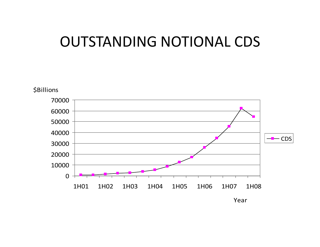### OUTSTANDING NOTIONAL CDS

![](_page_32_Figure_1.jpeg)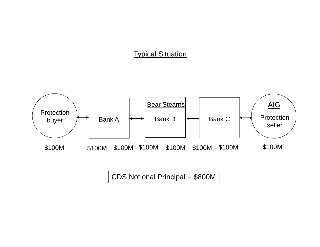#### Typical Situation

![](_page_33_Figure_1.jpeg)

CDS Notional Principal = \$800M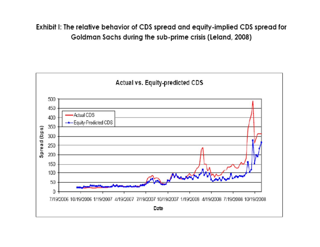Exhibit I: The relative behavior of CDS spread and equity-implied CDS spread for Goldman Sachs during the sub-prime crisis (Leland, 2008)

![](_page_34_Figure_1.jpeg)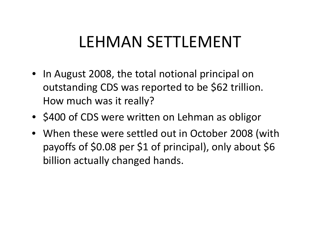# LEHMAN SETTLEMENT

- In August 2008, the total notional principal on outstanding CDS was reported to be \$62 trillion. How much was it really?
- \$400 of CDS were written on Lehman as obligor
- When these were settled out in October 2008 (with payoffs of \$0.08 per \$1 of principal), only about \$6 billion actually changed hands.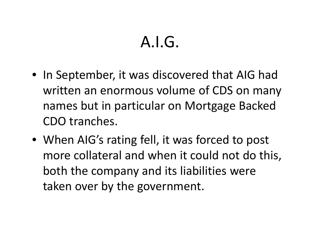# $A.I.G.$

- $\bullet\,$  In September, it was discovered that AIG had written an enormous volume of CDS on many names but in particular on Mortgage Backed CDO tranches.
- When AIG's rating fell, it was forced to post more collateral and when it could not do this, both the company and its liabilities were taken over by the government.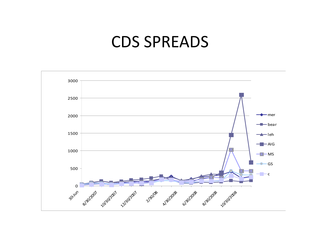### CDS SPREADS

![](_page_37_Figure_1.jpeg)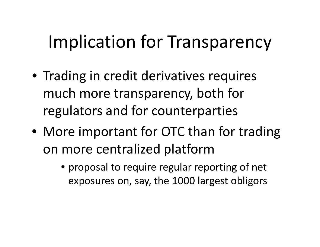# Implication for Transparency

- Trading in credit derivatives requires much more transparency, both for regulators and for counterparties
- More important for OTC than for trading on more centralized platform
	- proposal to require regular reporting of net exposures on, say, the 1000 largest obligors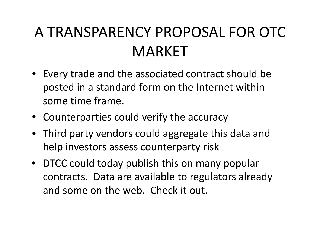# A TRANSPARENCY PROPOSAL FOR OTC MARKET

- Every trade and the associated contract should be posted in <sup>a</sup> standard form on the Internet within some time frame.
- Counterparties could verify the accuracy
- Third party vendors could aggregate this data and help investors assess counterparty risk
- DTCC could today publish this on many popular contracts. Data are available to regulators already and some on the web. Check it out.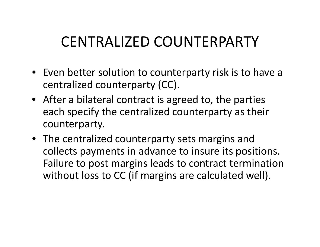### CENTRALIZED COUNTERPARTY

- Even better solution to counterparty risk is to have a centralized counterparty (CC).
- After <sup>a</sup> bilateral contract is agreed to, the parties each specify the centralized counterparty as their counterparty.
- The centralized counterparty sets margins and collects payments in advance to insure its positions. Failure to post margins leads to contract termination without loss to CC (if margins are calculated well).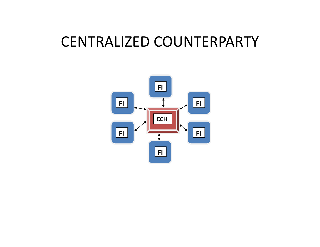### CENTRALIZED COUNTERPARTY

![](_page_41_Picture_1.jpeg)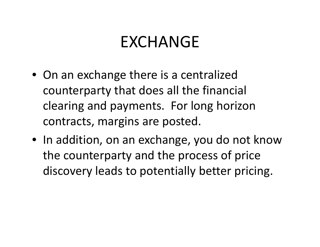### EXCHANGE

- On an exchange there is <sup>a</sup> centralized counterparty that does all the financial clearing and payments. For long horizon contracts, margins are posted.
- $\bullet\,$  In addition, on an exchange, you do not know the counterparty and the process of price discovery leads to potentially better pricing.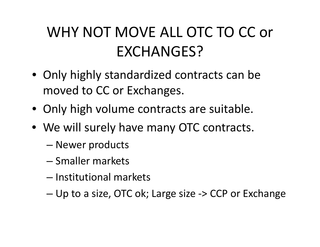# WHY NOT MOVE ALL OTC TO CC or EXCHANGES?

- Only highly standardized contracts can be moved to CC or Exchanges.
- Only high volume contracts are suitable.
- We will surely have many OTC contracts.
	- –Newer products
	- Smaller markets
	- Institutional markets
	- Up to <sup>a</sup> size, OTC ok; Large size ‐<sup>&</sup>gt; CCP or Exchange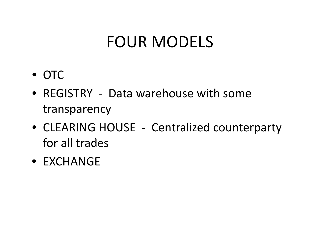# FOUR MODELS

- OTC
- REGISTRY Data warehouse with some transparency
- CLEARING HOUSE ‐ Centralized counterparty for all trades
- EXCHANGE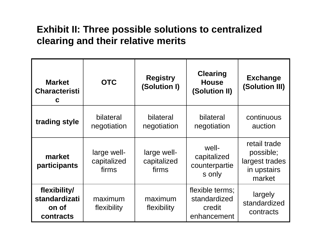#### **Exhibit II: Three possible solutions to centralized clearin g and their relative merits**

| <b>Market</b><br><b>Characteristi</b><br>C                 | <b>OTC</b>                          | <b>Registry</b><br>(Solution I)     | <b>Clearing</b><br><b>House</b><br>(Solution II)         | <b>Exchange</b><br>(Solution III)                                    |
|------------------------------------------------------------|-------------------------------------|-------------------------------------|----------------------------------------------------------|----------------------------------------------------------------------|
| trading style                                              | bilateral<br>negotiation            | bilateral<br>negotiation            | bilateral<br>negotiation                                 | continuous<br>auction                                                |
| market<br>participants                                     | large well-<br>capitalized<br>firms | large well-<br>capitalized<br>firms | well-<br>capitalized<br>counterpartie<br>s only          | retail trade<br>possible;<br>largest trades<br>in upstairs<br>market |
| flexibility/<br><b>standardizati</b><br>on of<br>contracts | maximum<br>flexibility              | maximum<br>flexibility              | flexible terms;<br>standardized<br>credit<br>enhancement | largely<br>standardized<br>contracts                                 |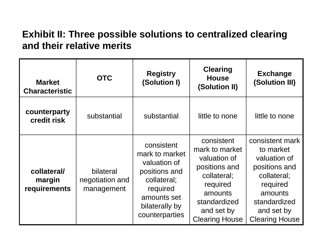#### **Exhibit II: Three possible solutions to centralized clearing and their relative merits**

| <b>Market</b><br><b>Characteristic</b> | <b>OTC</b>                                 | <b>Registry</b><br>(Solution I)                                                                                                             | <b>Clearing</b><br><b>House</b><br>(Solution II)                                                                                                           | <b>Exchange</b><br>(Solution III)                                                                                                                          |
|----------------------------------------|--------------------------------------------|---------------------------------------------------------------------------------------------------------------------------------------------|------------------------------------------------------------------------------------------------------------------------------------------------------------|------------------------------------------------------------------------------------------------------------------------------------------------------------|
| counterparty<br>credit risk            | substantial                                | substantial                                                                                                                                 | little to none                                                                                                                                             | little to none                                                                                                                                             |
| collateral/<br>margin<br>requirements  | bilateral<br>negotiation and<br>management | consistent<br>mark to market<br>valuation of<br>positions and<br>collateral;<br>required<br>amounts set<br>bilaterally by<br>counterparties | consistent<br>mark to market<br>valuation of<br>positions and<br>collateral;<br>required<br>amounts<br>standardized<br>and set by<br><b>Clearing House</b> | consistent mark<br>to market<br>valuation of<br>positions and<br>collateral;<br>required<br>amounts<br>standardized<br>and set by<br><b>Clearing House</b> |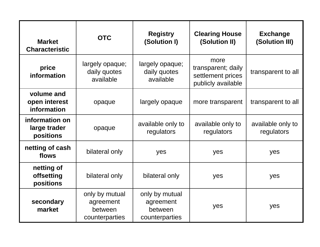| <b>Market</b><br><b>Characteristic</b>      | <b>OTC</b>                                               | <b>Registry</b><br>(Solution I)                          | <b>Clearing House</b><br>(Solution II)                                | <b>Exchange</b><br>(Solution III) |
|---------------------------------------------|----------------------------------------------------------|----------------------------------------------------------|-----------------------------------------------------------------------|-----------------------------------|
| price<br>information                        | largely opaque;<br>daily quotes<br>available             | largely opaque;<br>daily quotes<br>available             | more<br>transparent; daily<br>settlement prices<br>publicly available | transparent to all                |
| volume and<br>open interest<br>information  | opaque                                                   | largely opaque                                           | more transparent                                                      | transparent to all                |
| information on<br>large trader<br>positions | opaque                                                   | available only to<br>regulators                          | available only to<br>regulators                                       | available only to<br>regulators   |
| netting of cash<br>flows                    | bilateral only                                           | yes                                                      | yes                                                                   | yes                               |
| netting of<br>offsetting<br>positions       | bilateral only                                           | bilateral only                                           | yes                                                                   | yes                               |
| secondary<br>market                         | only by mutual<br>agreement<br>between<br>counterparties | only by mutual<br>agreement<br>between<br>counterparties | yes                                                                   | yes                               |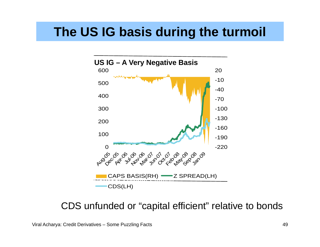#### **The US IG basis during the turmoil**

![](_page_48_Figure_1.jpeg)

CDS unfunded or "capital efficient" relative to bonds